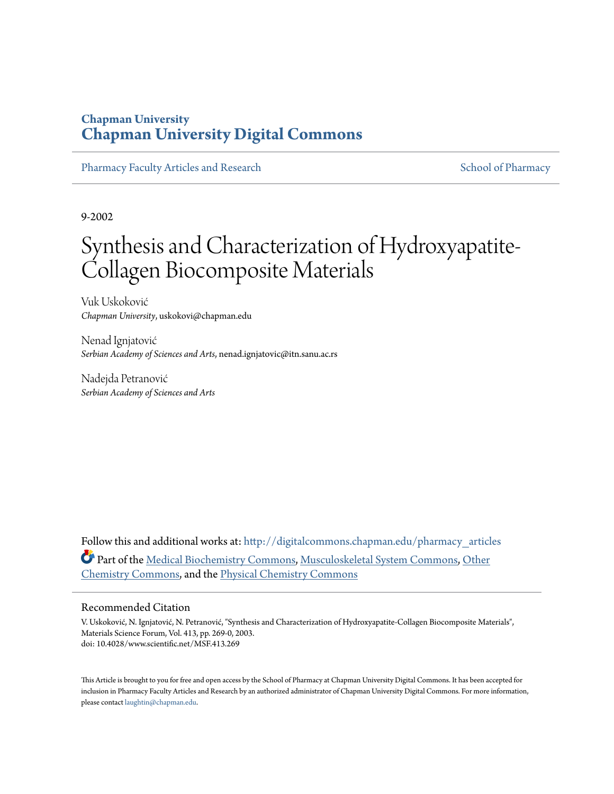## **Chapman University [Chapman University Digital Commons](http://digitalcommons.chapman.edu?utm_source=digitalcommons.chapman.edu%2Fpharmacy_articles%2F336&utm_medium=PDF&utm_campaign=PDFCoverPages)**

[Pharmacy Faculty Articles and Research](http://digitalcommons.chapman.edu/pharmacy_articles?utm_source=digitalcommons.chapman.edu%2Fpharmacy_articles%2F336&utm_medium=PDF&utm_campaign=PDFCoverPages) [School of Pharmacy](http://digitalcommons.chapman.edu/cusp?utm_source=digitalcommons.chapman.edu%2Fpharmacy_articles%2F336&utm_medium=PDF&utm_campaign=PDFCoverPages) School of Pharmacy

9-2002

# Synthesis and Characterization of Hydroxyapatite-Collagen Biocomposite Materials

Vuk Uskoković *Chapman University*, uskokovi@chapman.edu

Nenad Ignjatović *Serbian Academy of Sciences and Arts*, nenad.ignjatovic@itn.sanu.ac.rs

Nadejda Petranović *Serbian Academy of Sciences and Arts*

Follow this and additional works at: [http://digitalcommons.chapman.edu/pharmacy\\_articles](http://digitalcommons.chapman.edu/pharmacy_articles?utm_source=digitalcommons.chapman.edu%2Fpharmacy_articles%2F336&utm_medium=PDF&utm_campaign=PDFCoverPages) Part of the [Medical Biochemistry Commons,](http://network.bepress.com/hgg/discipline/666?utm_source=digitalcommons.chapman.edu%2Fpharmacy_articles%2F336&utm_medium=PDF&utm_campaign=PDFCoverPages) [Musculoskeletal System Commons,](http://network.bepress.com/hgg/discipline/938?utm_source=digitalcommons.chapman.edu%2Fpharmacy_articles%2F336&utm_medium=PDF&utm_campaign=PDFCoverPages) [Other](http://network.bepress.com/hgg/discipline/141?utm_source=digitalcommons.chapman.edu%2Fpharmacy_articles%2F336&utm_medium=PDF&utm_campaign=PDFCoverPages) [Chemistry Commons](http://network.bepress.com/hgg/discipline/141?utm_source=digitalcommons.chapman.edu%2Fpharmacy_articles%2F336&utm_medium=PDF&utm_campaign=PDFCoverPages), and the [Physical Chemistry Commons](http://network.bepress.com/hgg/discipline/139?utm_source=digitalcommons.chapman.edu%2Fpharmacy_articles%2F336&utm_medium=PDF&utm_campaign=PDFCoverPages)

#### Recommended Citation

V. Uskoković, N. Ignjatović, N. Petranović, "Synthesis and Characterization of Hydroxyapatite-Collagen Biocomposite Materials", Materials Science Forum, Vol. 413, pp. 269-0, 2003. doi: 10.4028/www.scientific.net/MSF.413.269

This Article is brought to you for free and open access by the School of Pharmacy at Chapman University Digital Commons. It has been accepted for inclusion in Pharmacy Faculty Articles and Research by an authorized administrator of Chapman University Digital Commons. For more information, please contact [laughtin@chapman.edu.](mailto:laughtin@chapman.edu)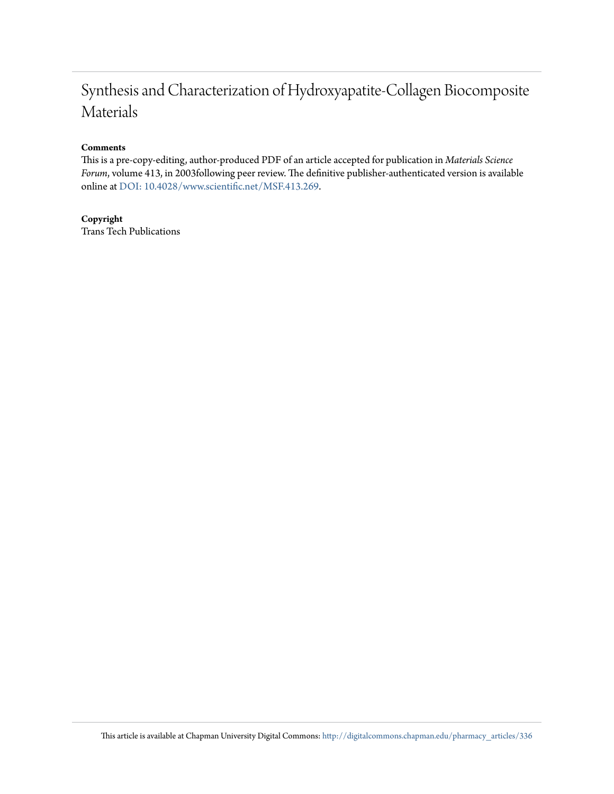# Synthesis and Characterization of Hydroxyapatite-Collagen Biocomposite Materials

#### **Comments**

This is a pre-copy-editing, author-produced PDF of an article accepted for publication in *Materials Science Forum*, volume 413, in 2003following peer review. The definitive publisher-authenticated version is available online at [DOI: 10.4028/www.scientific.net/MSF.413.269](http://dx.doi.org/10.4028/www.scientific.net/MSF.413.269).

#### **Copyright**

Trans Tech Publications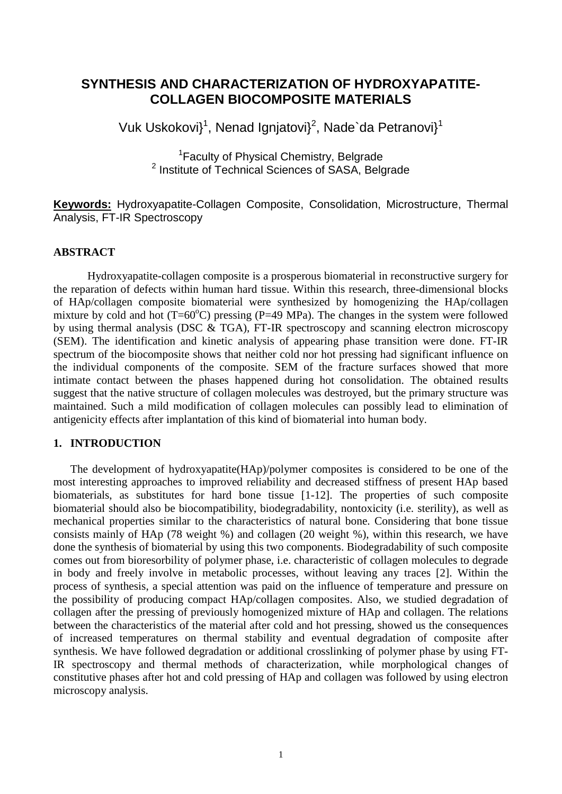### **SYNTHESIS AND CHARACTERIZATION OF HYDROXYAPATITE-COLLAGEN BIOCOMPOSITE MATERIALS**

Vuk Uskokovi}<sup>1</sup>, Nenad Ignjatovi}<sup>2</sup>, Nade`da Petranovi}<sup>1</sup>

<sup>1</sup> Faculty of Physical Chemistry, Belgrade <sup>2</sup> Institute of Technical Sciences of SASA, Belgrade

**Keywords:** Hydroxyapatite-Collagen Composite, Consolidation, Microstructure, Thermal Analysis, FT-IR Spectroscopy

#### **ABSTRACT**

Hydroxyapatite-collagen composite is a prosperous biomaterial in reconstructive surgery for the reparation of defects within human hard tissue. Within this research, three-dimensional blocks of HAp/collagen composite biomaterial were synthesized by homogenizing the HAp/collagen mixture by cold and hot  $(T=60^{\circ}C)$  pressing (P=49 MPa). The changes in the system were followed by using thermal analysis (DSC & TGA), FT-IR spectroscopy and scanning electron microscopy (SEM). The identification and kinetic analysis of appearing phase transition were done. FT-IR spectrum of the biocomposite shows that neither cold nor hot pressing had significant influence on the individual components of the composite. SEM of the fracture surfaces showed that more intimate contact between the phases happened during hot consolidation. The obtained results suggest that the native structure of collagen molecules was destroyed, but the primary structure was maintained. Such a mild modification of collagen molecules can possibly lead to elimination of antigenicity effects after implantation of this kind of biomaterial into human body.

#### **1. INTRODUCTION**

The development of hydroxyapatite(HAp)/polymer composites is considered to be one of the most interesting approaches to improved reliability and decreased stiffness of present HAp based biomaterials, as substitutes for hard bone tissue [1-12]. The properties of such composite biomaterial should also be biocompatibility, biodegradability, nontoxicity (i.e. sterility), as well as mechanical properties similar to the characteristics of natural bone. Considering that bone tissue consists mainly of HAp (78 weight %) and collagen (20 weight %), within this research, we have done the synthesis of biomaterial by using this two components. Biodegradability of such composite comes out from bioresorbility of polymer phase, i.e. characteristic of collagen molecules to degrade in body and freely involve in metabolic processes, without leaving any traces [2]. Within the process of synthesis, a special attention was paid on the influence of temperature and pressure on the possibility of producing compact HAp/collagen composites. Also, we studied degradation of collagen after the pressing of previously homogenized mixture of HAp and collagen. The relations between the characteristics of the material after cold and hot pressing, showed us the consequences of increased temperatures on thermal stability and eventual degradation of composite after synthesis. We have followed degradation or additional crosslinking of polymer phase by using FT-IR spectroscopy and thermal methods of characterization, while morphological changes of constitutive phases after hot and cold pressing of HAp and collagen was followed by using electron microscopy analysis.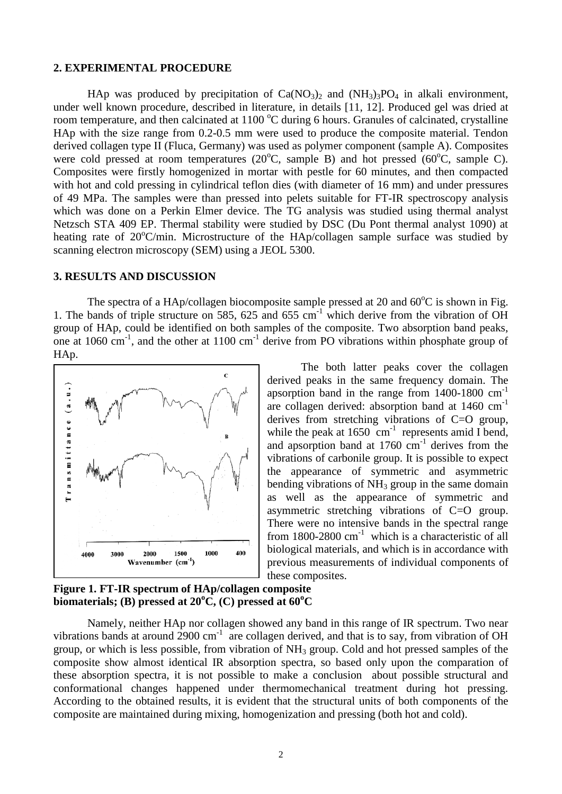#### **2. EXPERIMENTAL PROCEDURE**

HAp was produced by precipitation of  $Ca(NO<sub>3</sub>)<sub>2</sub>$  and  $(NH<sub>3</sub>)<sub>3</sub>PO<sub>4</sub>$  in alkali environment, under well known procedure, described in literature, in details [11, 12]. Produced gel was dried at room temperature, and then calcinated at  $1100\,^{\circ}\text{C}$  during 6 hours. Granules of calcinated, crystalline HAp with the size range from 0.2-0.5 mm were used to produce the composite material. Tendon derived collagen type II (Fluca, Germany) was used as polymer component (sample A). Composites were cold pressed at room temperatures  $(20^{\circ}C,$  sample B) and hot pressed  $(60^{\circ}C,$  sample C). Composites were firstly homogenized in mortar with pestle for 60 minutes, and then compacted with hot and cold pressing in cylindrical teflon dies (with diameter of 16 mm) and under pressures of 49 MPa. The samples were than pressed into pelets suitable for FT-IR spectroscopy analysis which was done on a Perkin Elmer device. The TG analysis was studied using thermal analyst Netzsch STA 409 EP. Thermal stability were studied by DSC (Du Pont thermal analyst 1090) at heating rate of 20°C/min. Microstructure of the HAp/collagen sample surface was studied by scanning electron microscopy (SEM) using a JEOL 5300.

#### **3. RESULTS AND DISCUSSION**

The spectra of a HAp/collagen biocomposite sample pressed at 20 and  $60^{\circ}$ C is shown in Fig. 1. The bands of triple structure on 585, 625 and 655  $cm^{-1}$  which derive from the vibration of OH group of HAp, could be identified on both samples of the composite. Two absorption band peaks, one at 1060  $\text{cm}^{-1}$ , and the other at 1100  $\text{cm}^{-1}$  derive from PO vibrations within phosphate group of HAp.



The both latter peaks cover the collagen derived peaks in the same frequency domain. The apsorption band in the range from  $1400-1800$  cm<sup>-1</sup> are collagen derived: absorption band at 1460 cm-1 derives from stretching vibrations of C=O group, while the peak at  $1650 \text{ cm}^{-1}$  represents amid I bend, and apsorption band at  $1760 \text{ cm}^{-1}$  derives from the vibrations of carbonile group. It is possible to expect the appearance of symmetric and asymmetric bending vibrations of  $NH<sub>3</sub>$  group in the same domain as well as the appearance of symmetric and asymmetric stretching vibrations of C=O group. There were no intensive bands in the spectral range from 1800-2800  $\text{cm}^{-1}$  which is a characteristic of all biological materials, and which is in accordance with previous measurements of individual components of these composites.

#### **Figure 1. FT-IR spectrum of HAp/collagen composite**  biomaterials; (B) pressed at 20<sup>o</sup>C, (C) pressed at 60<sup>o</sup>C

Namely, neither HAp nor collagen showed any band in this range of IR spectrum. Two near vibrations bands at around  $2900 \text{ cm}^{-1}$  are collagen derived, and that is to say, from vibration of OH group, or which is less possible, from vibration of  $NH<sub>3</sub>$  group. Cold and hot pressed samples of the composite show almost identical IR absorption spectra, so based only upon the comparation of these absorption spectra, it is not possible to make a conclusion about possible structural and conformational changes happened under thermomechanical treatment during hot pressing. According to the obtained results, it is evident that the structural units of both components of the composite are maintained during mixing, homogenization and pressing (both hot and cold).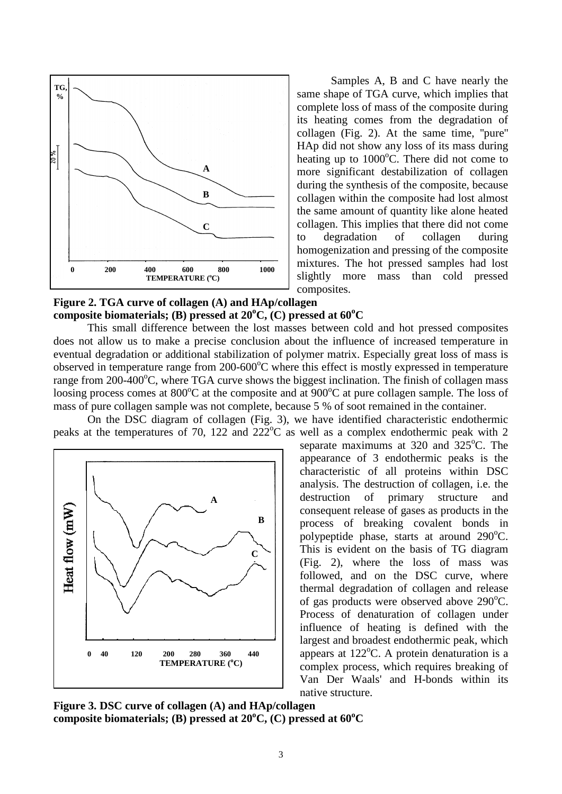

Samples A, B and C have nearly the same shape of TGA curve, which implies that complete loss of mass of the composite during its heating comes from the degradation of collagen (Fig. 2). At the same time, ''pure'' HAp did not show any loss of its mass during heating up to 1000°C. There did not come to more significant destabilization of collagen during the synthesis of the composite, because collagen within the composite had lost almost the same amount of quantity like alone heated collagen. This implies that there did not come to degradation of collagen during homogenization and pressing of the composite mixtures. The hot pressed samples had lost slightly more mass than cold pressed composites.

#### **Figure 2. TGA curve of collagen (A) and HAp/collagen**  composite biomaterials; (B) pressed at 20°C, (C) pressed at 60°C

This small difference between the lost masses between cold and hot pressed composites does not allow us to make a precise conclusion about the influence of increased temperature in eventual degradation or additional stabilization of polymer matrix. Especially great loss of mass is observed in temperature range from 200-600°C where this effect is mostly expressed in temperature range from 200-400°C, where TGA curve shows the biggest inclination. The finish of collagen mass loosing process comes at 800°C at the composite and at 900°C at pure collagen sample. The loss of mass of pure collagen sample was not complete, because 5 % of soot remained in the container.

On the DSC diagram of collagen (Fig. 3), we have identified characteristic endothermic peaks at the temperatures of 70, 122 and  $222^{\circ}$ C as well as a complex endothermic peak with 2



separate maximums at 320 and 325°C. The appearance of 3 endothermic peaks is the characteristic of all proteins within DSC analysis. The destruction of collagen, i.e. the destruction of primary structure and consequent release of gases as products in the process of breaking covalent bonds in polypeptide phase, starts at around 290°C. This is evident on the basis of TG diagram (Fig. 2), where the loss of mass was followed, and on the DSC curve, where thermal degradation of collagen and release of gas products were observed above 290°C. Process of denaturation of collagen under influence of heating is defined with the largest and broadest endothermic peak, which appears at  $122^{\circ}$ C. A protein denaturation is a complex process, which requires breaking of Van Der Waals' and H-bonds within its native structure.

**Figure 3. DSC curve of collagen (A) and HAp/collagen** composite biomaterials; (B) pressed at 20°C, (C) pressed at 60°C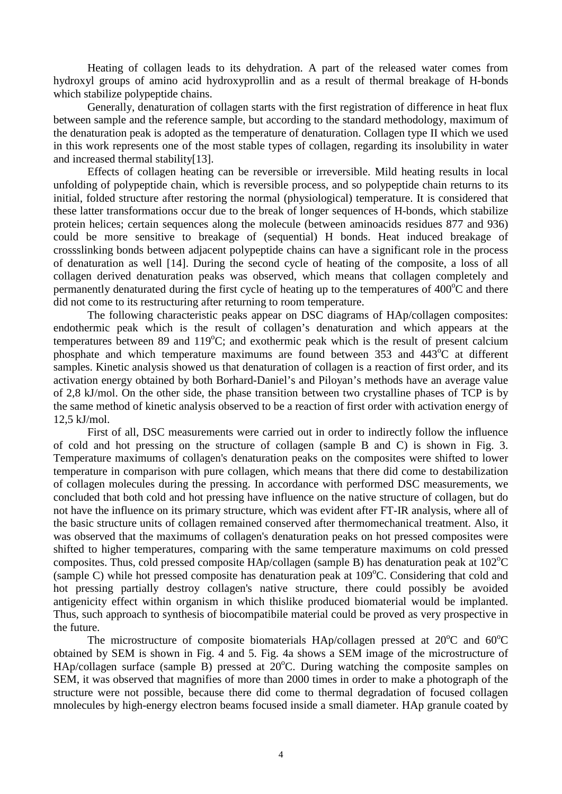Heating of collagen leads to its dehydration. A part of the released water comes from hydroxyl groups of amino acid hydroxyprollin and as a result of thermal breakage of H-bonds which stabilize polypeptide chains.

Generally, denaturation of collagen starts with the first registration of difference in heat flux between sample and the reference sample, but according to the standard methodology, maximum of the denaturation peak is adopted as the temperature of denaturation. Collagen type II which we used in this work represents one of the most stable types of collagen, regarding its insolubility in water and increased thermal stability[13].

Effects of collagen heating can be reversible or irreversible. Mild heating results in local unfolding of polypeptide chain, which is reversible process, and so polypeptide chain returns to its initial, folded structure after restoring the normal (physiological) temperature. It is considered that these latter transformations occur due to the break of longer sequences of H-bonds, which stabilize protein helices; certain sequences along the molecule (between aminoacids residues 877 and 936) could be more sensitive to breakage of (sequential) H bonds. Heat induced breakage of crossslinking bonds between adjacent polypeptide chains can have a significant role in the process of denaturation as well [14]. During the second cycle of heating of the composite, a loss of all collagen derived denaturation peaks was observed, which means that collagen completely and permanently denaturated during the first cycle of heating up to the temperatures of  $400^{\circ}$ C and there did not come to its restructuring after returning to room temperature.

The following characteristic peaks appear on DSC diagrams of HAp/collagen composites: endothermic peak which is the result of collagen's denaturation and which appears at the temperatures between 89 and 119°C; and exothermic peak which is the result of present calcium phosphate and which temperature maximums are found between  $353$  and  $443^{\circ}$ C at different samples. Kinetic analysis showed us that denaturation of collagen is a reaction of first order, and its activation energy obtained by both Borhard-Daniel's and Piloyan's methods have an average value of 2,8 kJ/mol. On the other side, the phase transition between two crystalline phases of TCP is by the same method of kinetic analysis observed to be a reaction of first order with activation energy of 12,5 kJ/mol.

First of all, DSC measurements were carried out in order to indirectly follow the influence of cold and hot pressing on the structure of collagen (sample B and C) is shown in Fig. 3. Temperature maximums of collagen's denaturation peaks on the composites were shifted to lower temperature in comparison with pure collagen, which means that there did come to destabilization of collagen molecules during the pressing. In accordance with performed DSC measurements, we concluded that both cold and hot pressing have influence on the native structure of collagen, but do not have the influence on its primary structure, which was evident after FT-IR analysis, where all of the basic structure units of collagen remained conserved after thermomechanical treatment. Also, it was observed that the maximums of collagen's denaturation peaks on hot pressed composites were shifted to higher temperatures, comparing with the same temperature maximums on cold pressed composites. Thus, cold pressed composite HAp/collagen (sample B) has denaturation peak at 102°C (sample C) while hot pressed composite has denaturation peak at 109°C. Considering that cold and hot pressing partially destroy collagen's native structure, there could possibly be avoided antigenicity effect within organism in which thislike produced biomaterial would be implanted. Thus, such approach to synthesis of biocompatibile material could be proved as very prospective in the future.

The microstructure of composite biomaterials HAp/collagen pressed at  $20^{\circ}$ C and  $60^{\circ}$ C obtained by SEM is shown in Fig. 4 and 5. Fig. 4a shows a SEM image of the microstructure of HAp/collagen surface (sample B) pressed at 20°C. During watching the composite samples on SEM, it was observed that magnifies of more than 2000 times in order to make a photograph of the structure were not possible, because there did come to thermal degradation of focused collagen mnolecules by high-energy electron beams focused inside a small diameter. HAp granule coated by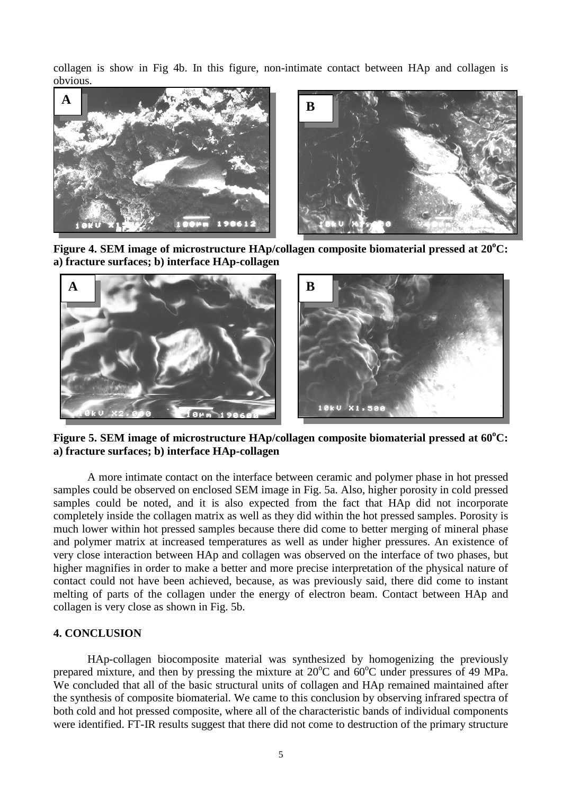collagen is show in Fig 4b. In this figure, non-intimate contact between HAp and collagen is obvious.



Figure 4. SEM image of microstructure HAp/collagen composite biomaterial pressed at 20<sup>°</sup>C: **a) fracture surfaces; b) interface HAp-collagen**



Figure 5. SEM image of microstructure HAp/collagen composite biomaterial pressed at 60°C: **a) fracture surfaces; b) interface HAp-collagen**

A more intimate contact on the interface between ceramic and polymer phase in hot pressed samples could be observed on enclosed SEM image in Fig. 5a. Also, higher porosity in cold pressed samples could be noted, and it is also expected from the fact that HAp did not incorporate completely inside the collagen matrix as well as they did within the hot pressed samples. Porosity is much lower within hot pressed samples because there did come to better merging of mineral phase and polymer matrix at increased temperatures as well as under higher pressures. An existence of very close interaction between HAp and collagen was observed on the interface of two phases, but higher magnifies in order to make a better and more precise interpretation of the physical nature of contact could not have been achieved, because, as was previously said, there did come to instant melting of parts of the collagen under the energy of electron beam. Contact between HAp and collagen is very close as shown in Fig. 5b.

#### **4. CONCLUSION**

HAp-collagen biocomposite material was synthesized by homogenizing the previously prepared mixture, and then by pressing the mixture at 20°C and 60°C under pressures of 49 MPa. We concluded that all of the basic structural units of collagen and HAp remained maintained after the synthesis of composite biomaterial. We came to this conclusion by observing infrared spectra of both cold and hot pressed composite, where all of the characteristic bands of individual components were identified. FT-IR results suggest that there did not come to destruction of the primary structure